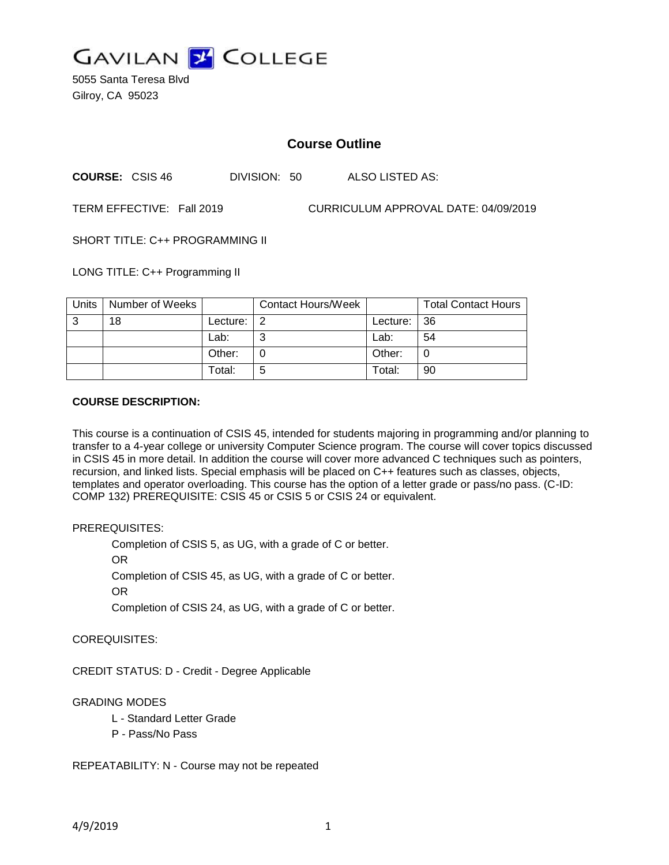

5055 Santa Teresa Blvd Gilroy, CA 95023

## **Course Outline**

**COURSE:** CSIS 46 DIVISION: 50 ALSO LISTED AS:

TERM EFFECTIVE: Fall 2019 CURRICULUM APPROVAL DATE: 04/09/2019

SHORT TITLE: C++ PROGRAMMING II

LONG TITLE: C++ Programming II

| Units | Number of Weeks |          | <b>Contact Hours/Week</b> |             | <b>Total Contact Hours</b> |
|-------|-----------------|----------|---------------------------|-------------|----------------------------|
| 3     | 18              | Lecture: |                           | Lecture: 36 |                            |
|       |                 | Lab:     | ⌒                         | Lab:        | 54                         |
|       |                 | Other:   |                           | Other:      |                            |
|       |                 | Total:   | 5                         | Total:      | 90                         |

#### **COURSE DESCRIPTION:**

This course is a continuation of CSIS 45, intended for students majoring in programming and/or planning to transfer to a 4-year college or university Computer Science program. The course will cover topics discussed in CSIS 45 in more detail. In addition the course will cover more advanced C techniques such as pointers, recursion, and linked lists. Special emphasis will be placed on C++ features such as classes, objects, templates and operator overloading. This course has the option of a letter grade or pass/no pass. (C-ID: COMP 132) PREREQUISITE: CSIS 45 or CSIS 5 or CSIS 24 or equivalent.

## PREREQUISITES:

Completion of CSIS 5, as UG, with a grade of C or better.

OR

Completion of CSIS 45, as UG, with a grade of C or better.

OR

Completion of CSIS 24, as UG, with a grade of C or better.

COREQUISITES:

CREDIT STATUS: D - Credit - Degree Applicable

## GRADING MODES

- L Standard Letter Grade
- P Pass/No Pass

REPEATABILITY: N - Course may not be repeated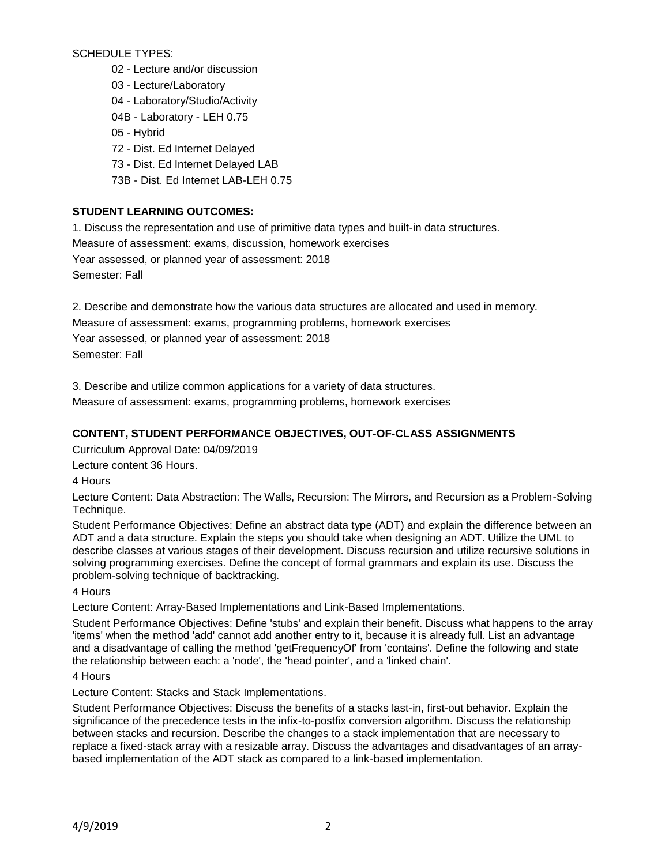SCHEDULE TYPES:

02 - Lecture and/or discussion

03 - Lecture/Laboratory

04 - Laboratory/Studio/Activity

04B - Laboratory - LEH 0.75

05 - Hybrid

72 - Dist. Ed Internet Delayed

73 - Dist. Ed Internet Delayed LAB

73B - Dist. Ed Internet LAB-LEH 0.75

## **STUDENT LEARNING OUTCOMES:**

1. Discuss the representation and use of primitive data types and built-in data structures. Measure of assessment: exams, discussion, homework exercises Year assessed, or planned year of assessment: 2018 Semester: Fall

2. Describe and demonstrate how the various data structures are allocated and used in memory. Measure of assessment: exams, programming problems, homework exercises Year assessed, or planned year of assessment: 2018 Semester: Fall

3. Describe and utilize common applications for a variety of data structures.

Measure of assessment: exams, programming problems, homework exercises

# **CONTENT, STUDENT PERFORMANCE OBJECTIVES, OUT-OF-CLASS ASSIGNMENTS**

Curriculum Approval Date: 04/09/2019

Lecture content 36 Hours.

4 Hours

Lecture Content: Data Abstraction: The Walls, Recursion: The Mirrors, and Recursion as a Problem-Solving Technique.

Student Performance Objectives: Define an abstract data type (ADT) and explain the difference between an ADT and a data structure. Explain the steps you should take when designing an ADT. Utilize the UML to describe classes at various stages of their development. Discuss recursion and utilize recursive solutions in solving programming exercises. Define the concept of formal grammars and explain its use. Discuss the problem-solving technique of backtracking.

4 Hours

Lecture Content: Array-Based Implementations and Link-Based Implementations.

Student Performance Objectives: Define 'stubs' and explain their benefit. Discuss what happens to the array 'items' when the method 'add' cannot add another entry to it, because it is already full. List an advantage and a disadvantage of calling the method 'getFrequencyOf' from 'contains'. Define the following and state the relationship between each: a 'node', the 'head pointer', and a 'linked chain'.

## 4 Hours

Lecture Content: Stacks and Stack Implementations.

Student Performance Objectives: Discuss the benefits of a stacks last-in, first-out behavior. Explain the significance of the precedence tests in the infix-to-postfix conversion algorithm. Discuss the relationship between stacks and recursion. Describe the changes to a stack implementation that are necessary to replace a fixed-stack array with a resizable array. Discuss the advantages and disadvantages of an arraybased implementation of the ADT stack as compared to a link-based implementation.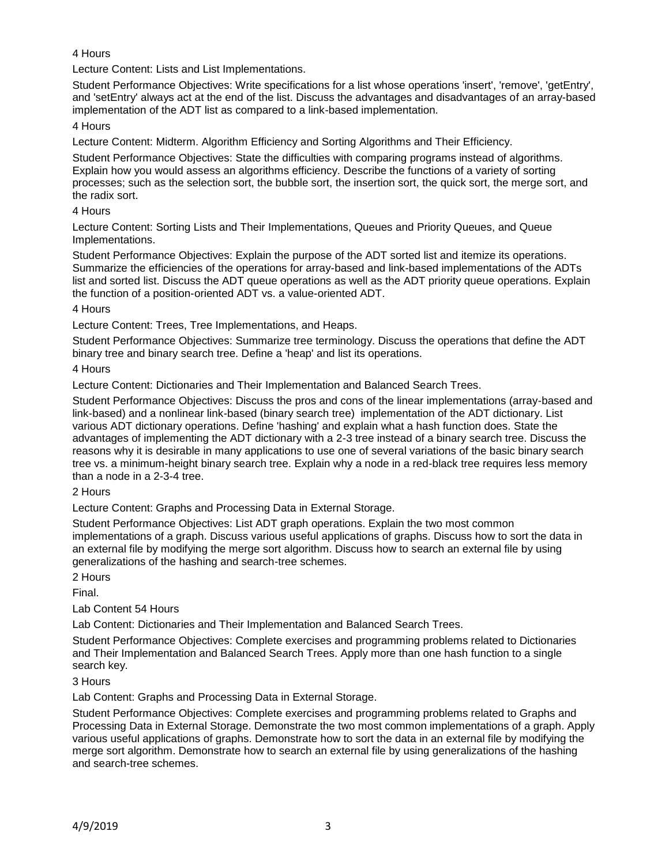## 4 Hours

Lecture Content: Lists and List Implementations.

Student Performance Objectives: Write specifications for a list whose operations 'insert', 'remove', 'getEntry', and 'setEntry' always act at the end of the list. Discuss the advantages and disadvantages of an array-based implementation of the ADT list as compared to a link-based implementation.

## 4 Hours

Lecture Content: Midterm. Algorithm Efficiency and Sorting Algorithms and Their Efficiency.

Student Performance Objectives: State the difficulties with comparing programs instead of algorithms. Explain how you would assess an algorithms efficiency. Describe the functions of a variety of sorting processes; such as the selection sort, the bubble sort, the insertion sort, the quick sort, the merge sort, and the radix sort.

## 4 Hours

Lecture Content: Sorting Lists and Their Implementations, Queues and Priority Queues, and Queue Implementations.

Student Performance Objectives: Explain the purpose of the ADT sorted list and itemize its operations. Summarize the efficiencies of the operations for array-based and link-based implementations of the ADTs list and sorted list. Discuss the ADT queue operations as well as the ADT priority queue operations. Explain the function of a position-oriented ADT vs. a value-oriented ADT.

#### 4 Hours

Lecture Content: Trees, Tree Implementations, and Heaps.

Student Performance Objectives: Summarize tree terminology. Discuss the operations that define the ADT binary tree and binary search tree. Define a 'heap' and list its operations.

4 Hours

Lecture Content: Dictionaries and Their Implementation and Balanced Search Trees.

Student Performance Objectives: Discuss the pros and cons of the linear implementations (array-based and link-based) and a nonlinear link-based (binary search tree) implementation of the ADT dictionary. List various ADT dictionary operations. Define 'hashing' and explain what a hash function does. State the advantages of implementing the ADT dictionary with a 2-3 tree instead of a binary search tree. Discuss the reasons why it is desirable in many applications to use one of several variations of the basic binary search tree vs. a minimum-height binary search tree. Explain why a node in a red-black tree requires less memory than a node in a 2-3-4 tree.

2 Hours

Lecture Content: Graphs and Processing Data in External Storage.

Student Performance Objectives: List ADT graph operations. Explain the two most common implementations of a graph. Discuss various useful applications of graphs. Discuss how to sort the data in an external file by modifying the merge sort algorithm. Discuss how to search an external file by using generalizations of the hashing and search-tree schemes.

2 Hours

Final.

Lab Content 54 Hours

Lab Content: Dictionaries and Their Implementation and Balanced Search Trees.

Student Performance Objectives: Complete exercises and programming problems related to Dictionaries and Their Implementation and Balanced Search Trees. Apply more than one hash function to a single search key.

3 Hours

Lab Content: Graphs and Processing Data in External Storage.

Student Performance Objectives: Complete exercises and programming problems related to Graphs and Processing Data in External Storage. Demonstrate the two most common implementations of a graph. Apply various useful applications of graphs. Demonstrate how to sort the data in an external file by modifying the merge sort algorithm. Demonstrate how to search an external file by using generalizations of the hashing and search-tree schemes.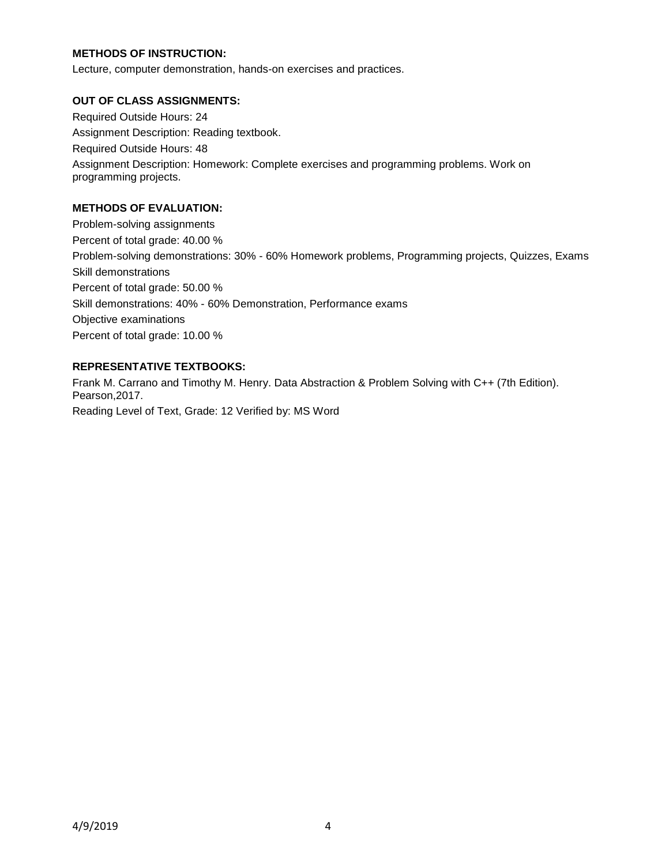## **METHODS OF INSTRUCTION:**

Lecture, computer demonstration, hands-on exercises and practices.

#### **OUT OF CLASS ASSIGNMENTS:**

Required Outside Hours: 24 Assignment Description: Reading textbook. Required Outside Hours: 48 Assignment Description: Homework: Complete exercises and programming problems. Work on programming projects.

#### **METHODS OF EVALUATION:**

Problem-solving assignments Percent of total grade: 40.00 % Problem-solving demonstrations: 30% - 60% Homework problems, Programming projects, Quizzes, Exams Skill demonstrations Percent of total grade: 50.00 % Skill demonstrations: 40% - 60% Demonstration, Performance exams Objective examinations Percent of total grade: 10.00 %

## **REPRESENTATIVE TEXTBOOKS:**

Frank M. Carrano and Timothy M. Henry. Data Abstraction & Problem Solving with C++ (7th Edition). Pearson,2017. Reading Level of Text, Grade: 12 Verified by: MS Word